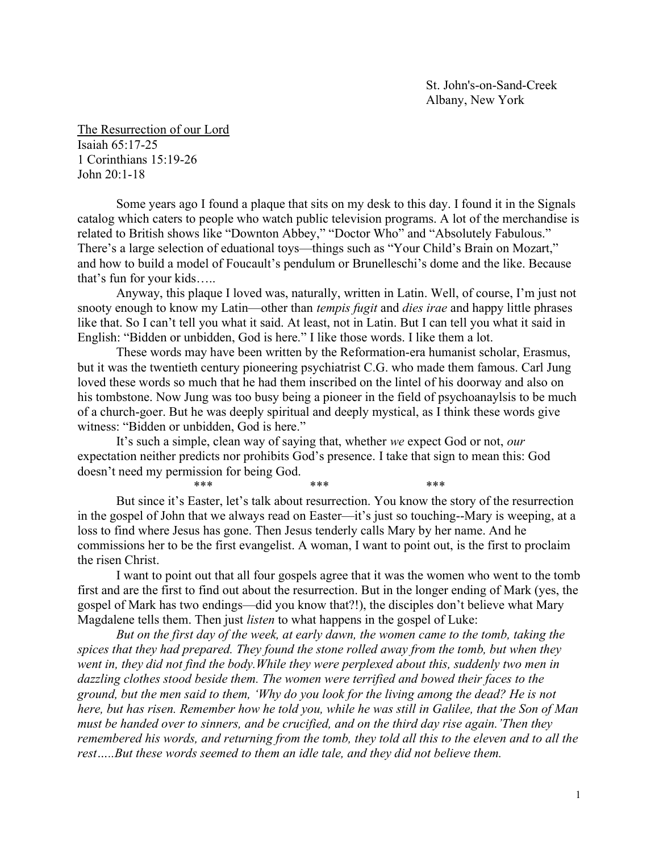The Resurrection of our Lord Isaiah 65:17-25 1 Corinthians 15:19-26 John 20:1-18

Some years ago I found a plaque that sits on my desk to this day. I found it in the Signals catalog which caters to people who watch public television programs. A lot of the merchandise is related to British shows like "Downton Abbey," "Doctor Who" and "Absolutely Fabulous." There's a large selection of eduational toys—things such as "Your Child's Brain on Mozart," and how to build a model of Foucault's pendulum or Brunelleschi's dome and the like. Because that's fun for your kids…..

Anyway, this plaque I loved was, naturally, written in Latin. Well, of course, I'm just not snooty enough to know my Latin—other than *tempis fugit* and *dies irae* and happy little phrases like that. So I can't tell you what it said. At least, not in Latin. But I can tell you what it said in English: "Bidden or unbidden, God is here." I like those words. I like them a lot.

 These words may have been written by the Reformation-era humanist scholar, Erasmus, but it was the twentieth century pioneering psychiatrist C.G. who made them famous. Carl Jung loved these words so much that he had them inscribed on the lintel of his doorway and also on his tombstone. Now Jung was too busy being a pioneer in the field of psychoanaylsis to be much of a church-goer. But he was deeply spiritual and deeply mystical, as I think these words give witness: "Bidden or unbidden, God is here."

It's such a simple, clean way of saying that, whether we expect God or not, our expectation neither predicts nor prohibits God's presence. I take that sign to mean this: God doesn't need my permission for being God.

\*\*\*  $***$  \*\*\* \*\*\* \*\*\*

But since it's Easter, let's talk about resurrection. You know the story of the resurrection in the gospel of John that we always read on Easter—it's just so touching--Mary is weeping, at a loss to find where Jesus has gone. Then Jesus tenderly calls Mary by her name. And he commissions her to be the first evangelist. A woman, I want to point out, is the first to proclaim the risen Christ.

I want to point out that all four gospels agree that it was the women who went to the tomb first and are the first to find out about the resurrection. But in the longer ending of Mark (yes, the gospel of Mark has two endings—did you know that?!), the disciples don't believe what Mary Magdalene tells them. Then just listen to what happens in the gospel of Luke:

But on the first day of the week, at early dawn, the women came to the tomb, taking the spices that they had prepared. They found the stone rolled away from the tomb, but when they went in, they did not find the body.While they were perplexed about this, suddenly two men in dazzling clothes stood beside them. The women were terrified and bowed their faces to the ground, but the men said to them, 'Why do you look for the living among the dead? He is not here, but has risen. Remember how he told you, while he was still in Galilee, that the Son of Man must be handed over to sinners, and be crucified, and on the third day rise again.'Then they remembered his words, and returning from the tomb, they told all this to the eleven and to all the rest…..But these words seemed to them an idle tale, and they did not believe them.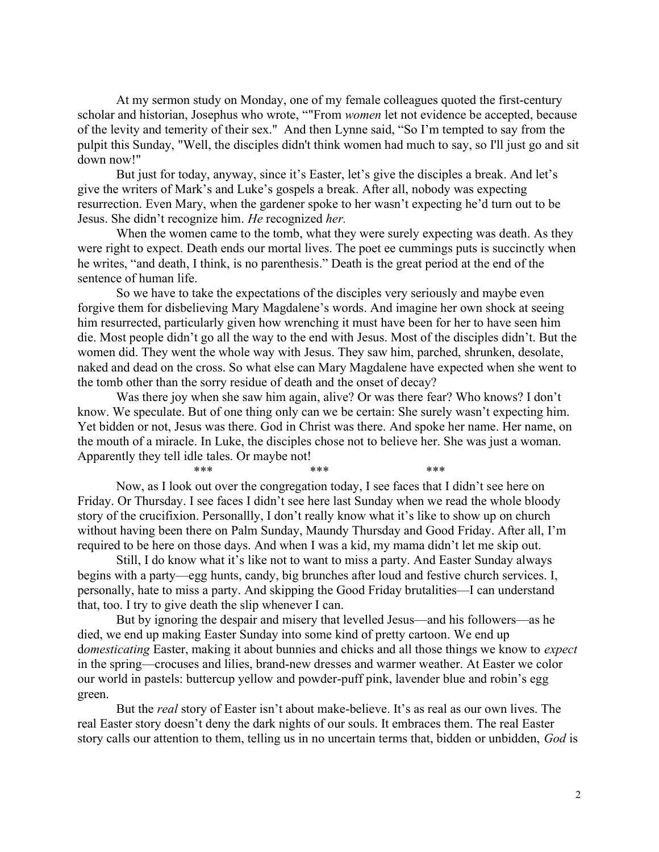At my sermon study on Monday, one of my female colleagues quoted the first-century scholar and historian, Josephus who wrote, ""From women let not evidence be accepted, because of the levity and temerity of their sex." And then Lynne said, "So I'm tempted to say from the pulpit this Sunday, "Well, the disciples didn't think women had much to say, so I'll just go and sit down now!"

But just for today, anyway, since it's Easter, let's give the disciples a break. And let's give the writers of Mark's and Luke's gospels a break. After all, nobody was expecting resurrection. Even Mary, when the gardener spoke to her wasn't expecting he'd turn out to be Jesus. She didn't recognize him. He recognized her.

When the women came to the tomb, what they were surely expecting was death. As they were right to expect. Death ends our mortal lives. The poet ee cummings puts is succinctly when he writes, "and death, I think, is no parenthesis." Death is the great period at the end of the sentence of human life.

 So we have to take the expectations of the disciples very seriously and maybe even forgive them for disbelieving Mary Magdalene's words. And imagine her own shock at seeing him resurrected, particularly given how wrenching it must have been for her to have seen him die. Most people didn't go all the way to the end with Jesus. Most of the disciples didn't. But the women did. They went the whole way with Jesus. They saw him, parched, shrunken, desolate, naked and dead on the cross. So what else can Mary Magdalene have expected when she went to the tomb other than the sorry residue of death and the onset of decay?

 Was there joy when she saw him again, alive? Or was there fear? Who knows? I don't know. We speculate. But of one thing only can we be certain: She surely wasn't expecting him. Yet bidden or not, Jesus was there. God in Christ was there. And spoke her name. Her name, on the mouth of a miracle. In Luke, the disciples chose not to believe her. She was just a woman. Apparently they tell idle tales. Or maybe not!

 $***$  \*\*\*  $***$  \*\*\* Now, as I look out over the congregation today, I see faces that I didn't see here on Friday. Or Thursday. I see faces I didn't see here last Sunday when we read the whole bloody story of the crucifixion. Personallly, I don't really know what it's like to show up on church without having been there on Palm Sunday, Maundy Thursday and Good Friday. After all, I'm required to be here on those days. And when I was a kid, my mama didn't let me skip out.

 Still, I do know what it's like not to want to miss a party. And Easter Sunday always begins with a party—egg hunts, candy, big brunches after loud and festive church services. I, personally, hate to miss a party. And skipping the Good Friday brutalities—I can understand that, too. I try to give death the slip whenever I can.

But by ignoring the despair and misery that levelled Jesus—and his followers—as he died, we end up making Easter Sunday into some kind of pretty cartoon. We end up domesticating Easter, making it about bunnies and chicks and all those things we know to *expect* in the spring—crocuses and lilies, brand-new dresses and warmer weather. At Easter we color our world in pastels: buttercup yellow and powder-puff pink, lavender blue and robin's egg green.

But the *real* story of Easter isn't about make-believe. It's as real as our own lives. The real Easter story doesn't deny the dark nights of our souls. It embraces them. The real Easter story calls our attention to them, telling us in no uncertain terms that, bidden or unbidden, God is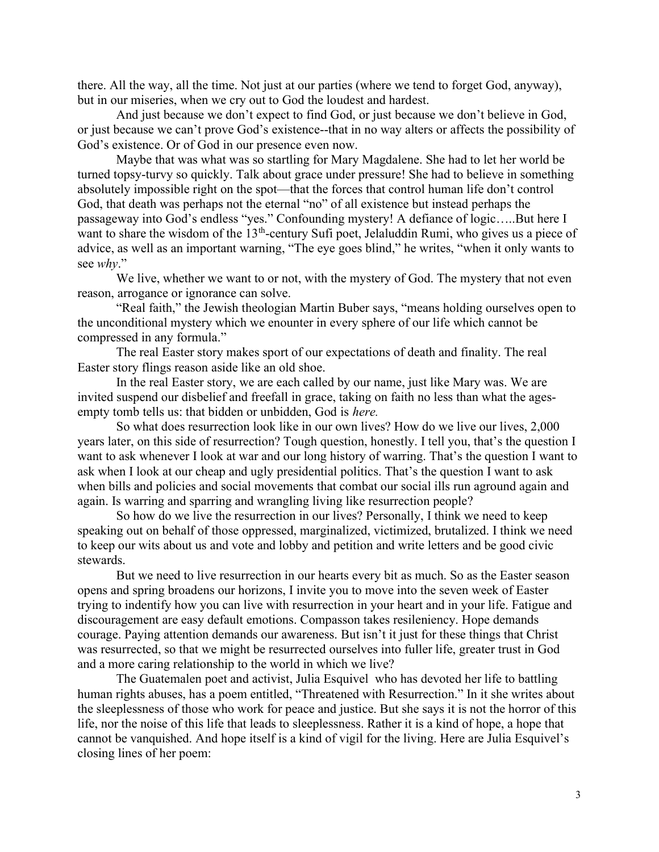there. All the way, all the time. Not just at our parties (where we tend to forget God, anyway), but in our miseries, when we cry out to God the loudest and hardest.

 And just because we don't expect to find God, or just because we don't believe in God, or just because we can't prove God's existence--that in no way alters or affects the possibility of God's existence. Or of God in our presence even now.

 Maybe that was what was so startling for Mary Magdalene. She had to let her world be turned topsy-turvy so quickly. Talk about grace under pressure! She had to believe in something absolutely impossible right on the spot—that the forces that control human life don't control God, that death was perhaps not the eternal "no" of all existence but instead perhaps the passageway into God's endless "yes." Confounding mystery! A defiance of logic…..But here I want to share the wisdom of the  $13<sup>th</sup>$ -century Sufi poet, Jelaluddin Rumi, who gives us a piece of advice, as well as an important warning, "The eye goes blind," he writes, "when it only wants to see why."

 We live, whether we want to or not, with the mystery of God. The mystery that not even reason, arrogance or ignorance can solve.

 "Real faith," the Jewish theologian Martin Buber says, "means holding ourselves open to the unconditional mystery which we enounter in every sphere of our life which cannot be compressed in any formula."

 The real Easter story makes sport of our expectations of death and finality. The real Easter story flings reason aside like an old shoe.

 In the real Easter story, we are each called by our name, just like Mary was. We are invited suspend our disbelief and freefall in grace, taking on faith no less than what the agesempty tomb tells us: that bidden or unbidden, God is here.

 So what does resurrection look like in our own lives? How do we live our lives, 2,000 years later, on this side of resurrection? Tough question, honestly. I tell you, that's the question I want to ask whenever I look at war and our long history of warring. That's the question I want to ask when I look at our cheap and ugly presidential politics. That's the question I want to ask when bills and policies and social movements that combat our social ills run aground again and again. Is warring and sparring and wrangling living like resurrection people?

 So how do we live the resurrection in our lives? Personally, I think we need to keep speaking out on behalf of those oppressed, marginalized, victimized, brutalized. I think we need to keep our wits about us and vote and lobby and petition and write letters and be good civic stewards.

 But we need to live resurrection in our hearts every bit as much. So as the Easter season opens and spring broadens our horizons, I invite you to move into the seven week of Easter trying to indentify how you can live with resurrection in your heart and in your life. Fatigue and discouragement are easy default emotions. Compasson takes resileniency. Hope demands courage. Paying attention demands our awareness. But isn't it just for these things that Christ was resurrected, so that we might be resurrected ourselves into fuller life, greater trust in God and a more caring relationship to the world in which we live?

 The Guatemalen poet and activist, Julia Esquivel who has devoted her life to battling human rights abuses, has a poem entitled, "Threatened with Resurrection." In it she writes about the sleeplessness of those who work for peace and justice. But she says it is not the horror of this life, nor the noise of this life that leads to sleeplessness. Rather it is a kind of hope, a hope that cannot be vanquished. And hope itself is a kind of vigil for the living. Here are Julia Esquivel's closing lines of her poem: